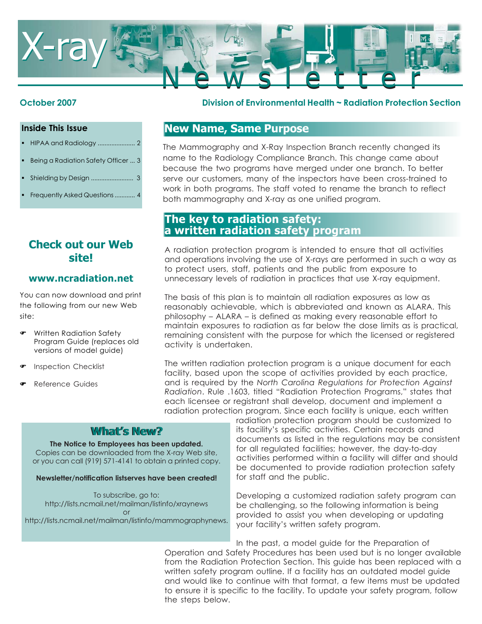

#### **Inside This Issue**

- HIPAA and Radiology ...................... 2
- Being a Radiation Safety Officer ... 3
- Shielding by Design ......................... 3
- Frequently Asked Questions............ 4

# **Check out our Web site!**

### **www.ncradiation.net**

You can now download and print the following from our new Web site:

- ) Written Radiation Safety Program Guide (replaces old versions of model guide)
- ) Inspection Checklist
- ) Reference Guides

### **October 2007 Division of Environmental Health ~ Radiation Protection Section**

# **New Name, Same Purpose**

The Mammography and X-Ray Inspection Branch recently changed its name to the Radiology Compliance Branch. This change came about because the two programs have merged under one branch. To better serve our customers, many of the inspectors have been cross-trained to work in both programs. The staff voted to rename the branch to reflect both mammography and X-ray as one unified program.

# **The key to radiation safety: a written radiation safety program**

A radiation protection program is intended to ensure that all activities and operations involving the use of X-rays are performed in such a way as to protect users, staff, patients and the public from exposure to unnecessary levels of radiation in practices that use X-ray equipment.

The basis of this plan is to maintain all radiation exposures as low as reasonably achievable, which is abbreviated and known as ALARA. This philosophy – ALARA – is defined as making every reasonable effort to maintain exposures to radiation as far below the dose limits as is practical, remaining consistent with the purpose for which the licensed or registered activity is undertaken.

The written radiation protection program is a unique document for each facility, based upon the scope of activities provided by each practice, and is required by the *North Carolina Regulations for Protection Against Radiation*. Rule .1603, titled "Radiation Protection Programs," states that each licensee or registrant shall develop, document and implement a radiation protection program. Since each facility is unique, each written

### **What's New? What's New?**

**The Notice to Employees has been updated.** Copies can be downloaded from the X-ray Web site, or you can call (919) 571-4141 to obtain a printed copy.

#### **Newsletter/notification listserves have been created!**

To subscribe, go to: http://lists.ncmail.net/mailman/listinfo/xraynews or

http://lists.ncmail.net/mailman/listinfo/mammographynews.

radiation protection program should be customized to its facility's specific activities. Certain records and documents as listed in the regulations may be consistent for all regulated facilities; however, the day-to-day activities performed within a facility will differ and should be documented to provide radiation protection safety for staff and the public.

Developing a customized radiation safety program can be challenging, so the following information is being provided to assist you when developing or updating your facility's written safety program.

In the past, a model guide for the Preparation of Operation and Safety Procedures has been used but is no longer available from the Radiation Protection Section. This guide has been replaced with a written safety program outline. If a facility has an outdated model guide and would like to continue with that format, a few items must be updated to ensure it is specific to the facility. To update your safety program, follow the steps below.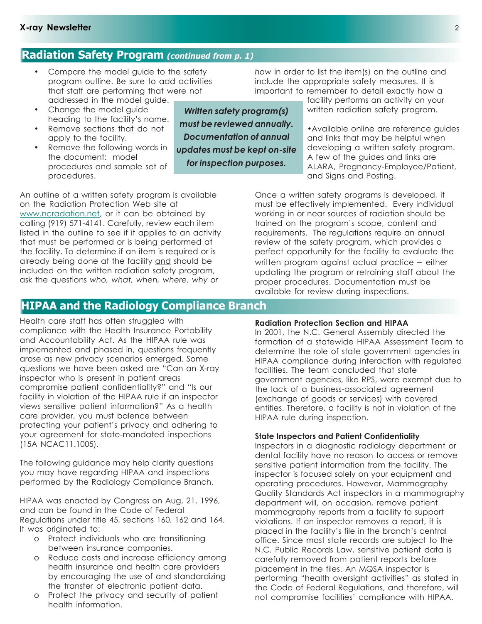### **Radiation Safety Program (continued from p. 1)**

- Compare the model guide to the safety program outline. Be sure to add activities that staff are performing that were not addressed in the model guide.
- Change the model guide heading to the facility's name.
- Remove sections that do not apply to the facility.
- Remove the following words in the document: model procedures and sample set of procedures.

*Written safety program(s) must be reviewed annually. Documentation of annual updates must be kept on-site for inspection purposes.*

*how* in order to list the item(s) on the outline and include the appropriate safety measures. It is important to remember to detail exactly how a

facility performs an activity on your written radiation safety program.

•Available online are reference guides and links that may be helpful when developing a written safety program. A few of the guides and links are ALARA, Pregnancy-Employee/Patient, and Signs and Posting.

Once a written safety programs is developed, it must be effectively implemented. Every individual working in or near sources of radiation should be trained on the program's scope, content and requirements. The regulations require an annual review of the safety program, which provides a perfect opportunity for the facility to evaluate the written program against actual practice – either updating the program or retraining staff about the proper procedures. Documentation must be available for review during inspections.

An outline of a written safety program is available on the Radiation Protection Web site at www.ncradation.net, or it can be obtained by calling (919) 571-4141. Carefully, review each item listed in the outline to see if it applies to an activity that must be performed or is being performed at the facility. To determine if an item is required or is already being done at the facility and should be included on the written radiation safety program, ask the questions *who, what, when, where, why or*

### **HIPAA and the Radiology Compliance Branch**

Health care staff has often struggled with compliance with the Health Insurance Portability and Accountability Act. As the HIPAA rule was implemented and phased in, questions frequently arose as new privacy scenarios emerged. Some questions we have been asked are "Can an X-ray inspector who is present in patient areas compromise patient confidentiality?" and "Is our facility in violation of the HIPAA rule if an inspector views sensitive patient information?" As a health care provider, you must balence between protecting your patient's privacy and adhering to your agreement for state-mandated inspections (15A NCAC11.1005).

The following guidance may help clarify questions you may have regarding HIPAA and inspections performed by the Radiology Compliance Branch.

HIPAA was enacted by Congress on Aug. 21, 1996, and can be found in the Code of Federal Regulations under title 45, sections 160, 162 and 164. It was originated to:

- o Protect individuals who are transitioning between insurance companies.
- o Reduce costs and increase efficiency among health insurance and health care providers by encouraging the use of and standardizing the transfer of electronic patient data.
- o Protect the privacy and security of patient health information.

### **Radiation Protection Section and HIPAA**

In 2001, the N.C. General Assembly directed the formation of a statewide HIPAA Assessment Team to determine the role of state government agencies in HIPAA compliance during interaction with regulated facilities. The team concluded that state government agencies, like RPS, were exempt due to the lack of a business-associated agreement (exchange of goods or services) with covered entities. Therefore, a facility is not in violation of the HIPAA rule during inspection.

#### **State Inspectors and Patient Confidentiality**

Inspectors in a diagnostic radiology department or dental facility have no reason to access or remove sensitive patient information from the facility. The inspector is focused solely on your equipment and operating procedures. However, Mammography Quality Standards Act inspectors in a mammography department will, on occasion, remove patient mammography reports from a facility to support violations. If an inspector removes a report, it is placed in the facility's file in the branch's central office. Since most state records are subject to the N.C. Public Records Law, sensitive patient data is carefully removed from patient reports before placement in the files. An MQSA inspector is performing "health oversight activities" as stated in the Code of Federal Regulations, and therefore, will not compromise facilities' compliance with HIPAA.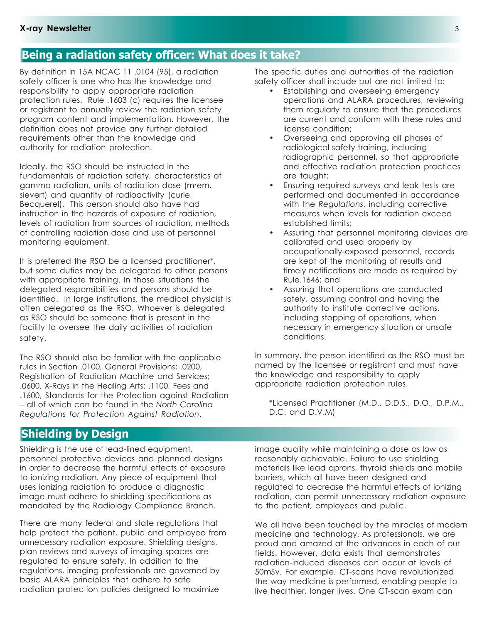# **Being a radiation safety officer: What does it take?**

By definition in 15A NCAC 11 .0104 (95), a radiation safety officer is one who has the knowledge and responsibility to apply appropriate radiation protection rules. Rule .1603 (c) requires the licensee or registrant to annually review the radiation safety program content and implementation. However, the definition does not provide any further detailed requirements other than the knowledge and authority for radiation protection.

Ideally, the RSO should be instructed in the fundamentals of radiation safety, characteristics of gamma radiation, units of radiation dose (mrem, sievert) and quantity of radioactivity (curie, Becquerel). This person should also have had instruction in the hazards of exposure of radiation, levels of radiation from sources of radiation, methods of controlling radiation dose and use of personnel monitoring equipment.

It is preferred the RSO be a licensed practitioner\*, but some duties may be delegated to other persons with appropriate training. In those situations the delegated responsibilities and persons should be identified. In large institutions, the medical physicist is often delegated as the RSO. Whoever is delegated as RSO should be someone that is present in the facility to oversee the daily activities of radiation safety.

The RSO should also be familiar with the applicable rules in Section .0100, General Provisions; .0200, Registration of Radiation Machine and Services; .0600, X-Rays in the Healing Arts; .1100, Fees and .1600, Standards for the Protection against Radiation – all of which can be found in the *North Carolina Regulations for Protection Against Radiation*.

The specific duties and authorities of the radiation safety officer shall include but are not limited to:

- Establishing and overseeing emergency operations and ALARA procedures, reviewing them regularly to ensure that the procedures are current and conform with these rules and license condition;
- Overseeing and approving all phases of radiological safety training, including radiographic personnel, so that appropriate and effective radiation protection practices are taught;
- Ensuring required surveys and leak tests are performed and documented in accordance with the *Regulations*, including corrective measures when levels for radiation exceed established limits;
- Assuring that personnel monitoring devices are calibrated and used properly by occupationally-exposed personnel, records are kept of the monitoring of results and timely notifications are made as required by Rule.1646; and
- Assuring that operations are conducted safely, assuming control and having the authority to institute corrective actions, including stopping of operations, when necessary in emergency situation or unsafe conditions.

In summary, the person identified as the RSO must be named by the licensee or registrant and must have the knowledge and responsibility to apply appropriate radiation protection rules.

\*Licensed Practitioner (M.D., D.D.S., D.O., D.P.M., D.C. and D.V.M)

### **Shielding by Design**

Shielding is the use of lead-lined equipment, personnel protective devices and planned designs in order to decrease the harmful effects of exposure to ionizing radiation. Any piece of equipment that uses ionizing radiation to produce a diagnostic image must adhere to shielding specifications as mandated by the Radiology Compliance Branch.

There are many federal and state regulations that help protect the patient, public and employee from unnecessary radiation exposure. Shielding designs, plan reviews and surveys of imaging spaces are regulated to ensure safety. In addition to the regulations, imaging professionals are governed by basic ALARA principles that adhere to safe radiation protection policies designed to maximize

image quality while maintaining a dose as low as reasonably achievable. Failure to use shielding materials like lead aprons, thyroid shields and mobile barriers, which all have been designed and regulated to decrease the harmful effects of ionizing radiation, can permit unnecessary radiation exposure to the patient, employees and public.

We all have been touched by the miracles of modern medicine and technology. As professionals, we are proud and amazed at the advances in each of our fields. However, data exists that demonstrates radiation-induced diseases can occur at levels of 50mSv. For example, CT-scans have revolutionized the way medicine is performed, enabling people to live healthier, longer lives. One CT-scan exam can